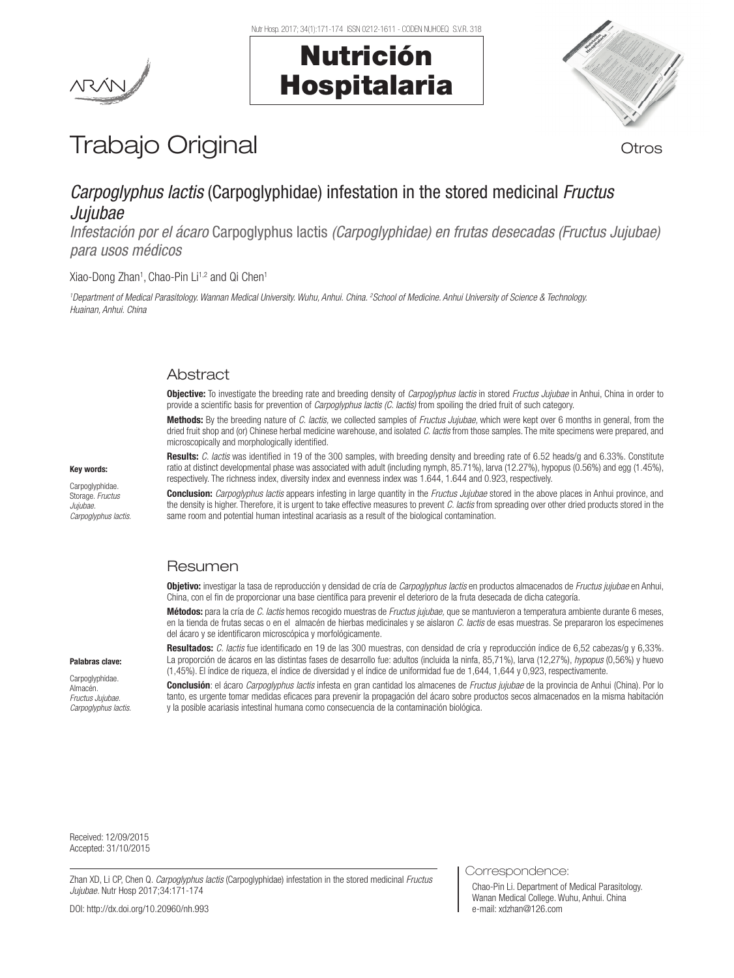# Nutrición Hospitalaria



# Trabajo Original **Trabajo Original**

# *Carpoglyphus lactis* (Carpoglyphidae) infestation in the stored medicinal *Fructus Jujubae*

*Infestación por el ácaro* Carpoglyphus lactis *(Carpoglyphidae) en frutas desecadas (Fructus Jujubae) para usos médicos* 

Xiao-Dong Zhan<sup>1</sup>, Chao-Pin Li<sup>1,2</sup> and Qi Chen<sup>1</sup>

<sup>1</sup>Department of Medical Parasitology. Wannan Medical University. Wuhu, Anhui. China. <sup>2</sup>School of Medicine. Anhui University of Science & Technology. *Huainan, Anhui. China*

# **Abstract**

Objective: To investigate the breeding rate and breeding density of *Carpoglyphus lactis* in stored *Fructus Jujubae* in Anhui, China in order to provide a scientific basis for prevention of *Carpoglyphus lactis (C. lactis)* from spoiling the dried fruit of such category.

Methods: By the breeding nature of *C. lactis,* we collected samples of *Fructus Jujubae,* which were kept over 6 months in general, from the dried fruit shop and (or) Chinese herbal medicine warehouse, and isolated *C. lactis* from those samples. The mite specimens were prepared, and microscopically and morphologically identified.

Results: *C. lactis* was identified in 19 of the 300 samples, with breeding density and breeding rate of 6.52 heads/g and 6.33%. Constitute ratio at distinct developmental phase was associated with adult (including nymph, 85.71%), larva (12.27%), hypopus (0.56%) and egg (1.45%), respectively. The richness index, diversity index and evenness index was 1.644, 1.644 and 0.923, respectively.

Conclusion: *Carpoglyphus lactis* appears infesting in large quantity in the *Fructus Jujubae* stored in the above places in Anhui province, and the density is higher. Therefore, it is urgent to take effective measures to prevent *C. lactis* from spreading over other dried products stored in the same room and potential human intestinal acariasis as a result of the biological contamination.

# Resumen

Objetivo: investigar la tasa de reproducción y densidad de cría de *Carpoglyphus lactis* en productos almacenados de *Fructus jujubae* en Anhui, China, con el fin de proporcionar una base científica para prevenir el deterioro de la fruta desecada de dicha categoría.

Métodos: para la cría de *C. lactis* hemos recogido muestras de *Fructus jujubae,* que se mantuvieron a temperatura ambiente durante 6 meses, en la tienda de frutas secas o en el almacén de hierbas medicinales y se aislaron *C. lactis* de esas muestras. Se prepararon los especímenes del ácaro y se identificaron microscópica y morfológicamente.

Palabras clave:

Key words: Carpoglyphidae. Storage. *Fructus Jujubae. Carpoglyphus lactis.*

Carpoglyphidae. Almacén. *Fructus Jujubae. Carpoglyphus lactis.* Resultados: *C. lactis* fue identificado en 19 de las 300 muestras, con densidad de cría y reproducción índice de 6,52 cabezas/g y 6,33%. La proporción de ácaros en las distintas fases de desarrollo fue: adultos (incluida la ninfa, 85,71%), larva (12,27%), *hypopus* (0,56%) y huevo (1,45%). El índice de riqueza, el índice de diversidad y el índice de uniformidad fue de 1,644, 1,644 y 0,923, respectivamente.

Conclusión: el ácaro *Carpoglyphus lactis* infesta en gran cantidad los almacenes de *Fructus jujubae* de la provincia de Anhui (China). Por lo tanto, es urgente tomar medidas eficaces para prevenir la propagación del ácaro sobre productos secos almacenados en la misma habitación y la posible acariasis intestinal humana como consecuencia de la contaminación biológica.

Received: 12/09/2015 Accepted: 31/10/2015

Zhan XD, Li CP, Chen Q. *Carpoglyphus lactis* (Carpoglyphidae) infestation in the stored medicinal *Fructus Jujubae.* Nutr Hosp 2017;34:171-174

Correspondence:

Chao-Pin Li. Department of Medical Parasitology. Wanan Medical College. Wuhu, Anhui. China e-mail: xdzhan@126.com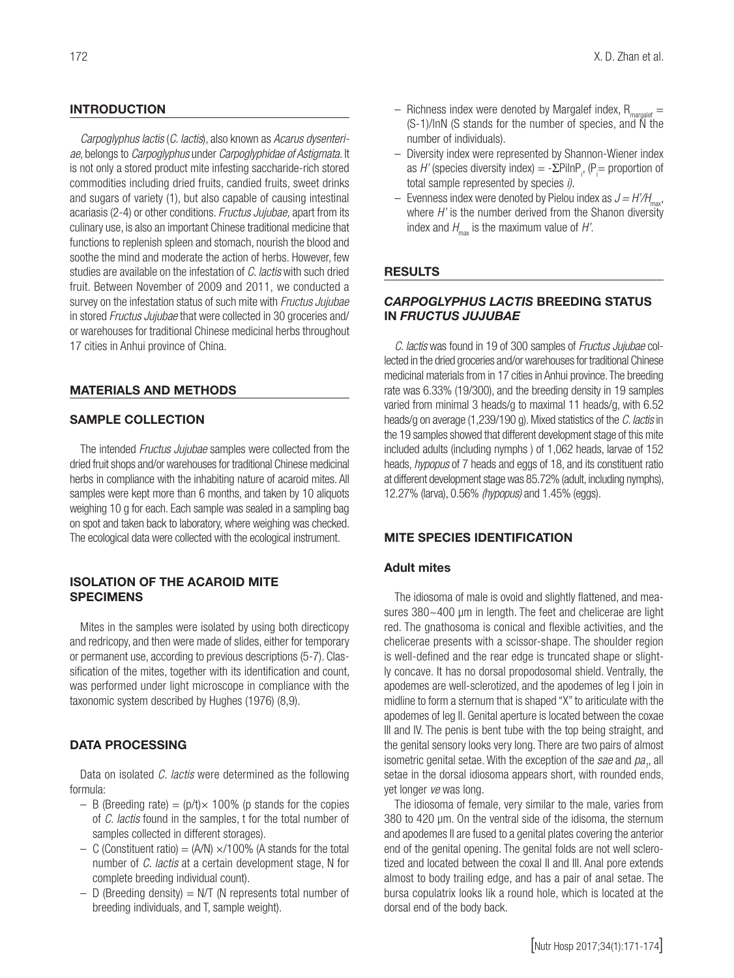# **INTRODUCTION**

*Carpoglyphus lactis* (*C. lactis*), also known as *Acarus dysenteriae*, belongs to *Carpoglyphus* under *Carpoglyphidae of Astigmata*. It is not only a stored product mite infesting saccharide-rich stored commodities including dried fruits, candied fruits, sweet drinks and sugars of variety (1), but also capable of causing intestinal acariasis (2-4) or other conditions. *Fructus Jujubae,* apart from its culinary use, is also an important Chinese traditional medicine that functions to replenish spleen and stomach, nourish the blood and soothe the mind and moderate the action of herbs. However, few studies are available on the infestation of *C. lactis* with such dried fruit. Between November of 2009 and 2011, we conducted a survey on the infestation status of such mite with *Fructus Jujubae* in stored *Fructus Jujubae* that were collected in 30 groceries and/ or warehouses for traditional Chinese medicinal herbs throughout 17 cities in Anhui province of China.

# MATERIALS AND METHODS

### SAMPLE COLLECTION

The intended *Fructus Jujubae* samples were collected from the dried fruit shops and/or warehouses for traditional Chinese medicinal herbs in compliance with the inhabiting nature of acaroid mites. All samples were kept more than 6 months, and taken by 10 aliquots weighing 10 g for each. Each sample was sealed in a sampling bag on spot and taken back to laboratory, where weighing was checked. The ecological data were collected with the ecological instrument.

### ISOLATION OF THE ACAROID MITE SPECIMENS

Mites in the samples were isolated by using both directicopy and redricopy, and then were made of slides, either for temporary or permanent use, according to previous descriptions (5-7). Classification of the mites, together with its identification and count, was performed under light microscope in compliance with the taxonomic system described by Hughes (1976) (8,9).

### DATA PROCESSING

Data on isolated *C. lactis* were determined as the following formula:

- B (Breeding rate) = ( $p/t$ ) $\times$  100% ( $p$  stands for the copies of *C. lactis* found in the samples, t for the total number of samples collected in different storages).
- C (Constituent ratio) =  $(A/N) \times /100\%$  (A stands for the total number of *C. lactis* at a certain development stage, N for complete breeding individual count).
- $-$  D (Breeding density) = N/T (N represents total number of breeding individuals, and T, sample weight).
- Richness index were denoted by Margalef index,  $R_{\text{measured}} =$ (S-1)/lnN (S stands for the number of species, and N the number of individuals).
- Diversity index were represented by Shannon-Wiener index as *H'* (species diversity index) =  $\Sigma$ PilnP<sub><sub>i</sub></sub>, (P<sub>i</sub>= proportion of total sample represented by species *i).*
- $-$  Evenness index were denoted by Pielou index as  $J = H'/H_{\text{max}}$ , where *H'* is the number derived from the Shanon diversity index and  $H_{\text{max}}$  is the maximum value of *H'*.

# RESULTS

# *CARPOGLYPHUS LACTIS* BREEDING STATUS IN *FRUCTUS JUJUBAE*

*C. lactis* was found in 19 of 300 samples of *Fructus Jujubae* collected in the dried groceries and/or warehouses for traditional Chinese medicinal materials from in 17 cities in Anhui province. The breeding rate was 6.33% (19/300), and the breeding density in 19 samples varied from minimal 3 heads/g to maximal 11 heads/g, with 6.52 heads/g on average (1,239/190 g). Mixed statistics of the *C. lactis* in the 19 samples showed that different development stage of this mite included adults (including nymphs ) of 1,062 heads, larvae of 152 heads, *hypopus* of 7 heads and eggs of 18, and its constituent ratio at different development stage was 85.72% (adult, including nymphs), 12.27% (larva), 0.56% *(hypopus)* and 1.45% (eggs).

### MITE SPECIES IDENTIFICATION

### Adult mites

The idiosoma of male is ovoid and slightly flattened, and measures 380~400 μm in length. The feet and chelicerae are light red. The gnathosoma is conical and flexible activities, and the chelicerae presents with a scissor-shape. The shoulder region is well-defined and the rear edge is truncated shape or slightly concave. It has no dorsal propodosomal shield. Ventrally, the apodemes are well-sclerotized, and the apodemes of leg I join in midline to form a sternum that is shaped "X" to ariticulate with the apodemes of leg II. Genital aperture is located between the coxae III and IV. The penis is bent tube with the top being straight, and the genital sensory looks very long. There are two pairs of almost isometric genital setae. With the exception of the *sae* and  $pa_{1}$ , all setae in the dorsal idiosoma appears short, with rounded ends, yet longer *ve* was long.

The idiosoma of female, very similar to the male, varies from 380 to 420 μm. On the ventral side of the idisoma, the sternum and apodemes II are fused to a genital plates covering the anterior end of the genital opening. The genital folds are not well sclerotized and located between the coxal II and III. Anal pore extends almost to body trailing edge, and has a pair of anal setae. The bursa copulatrix looks lik a round hole, which is located at the dorsal end of the body back.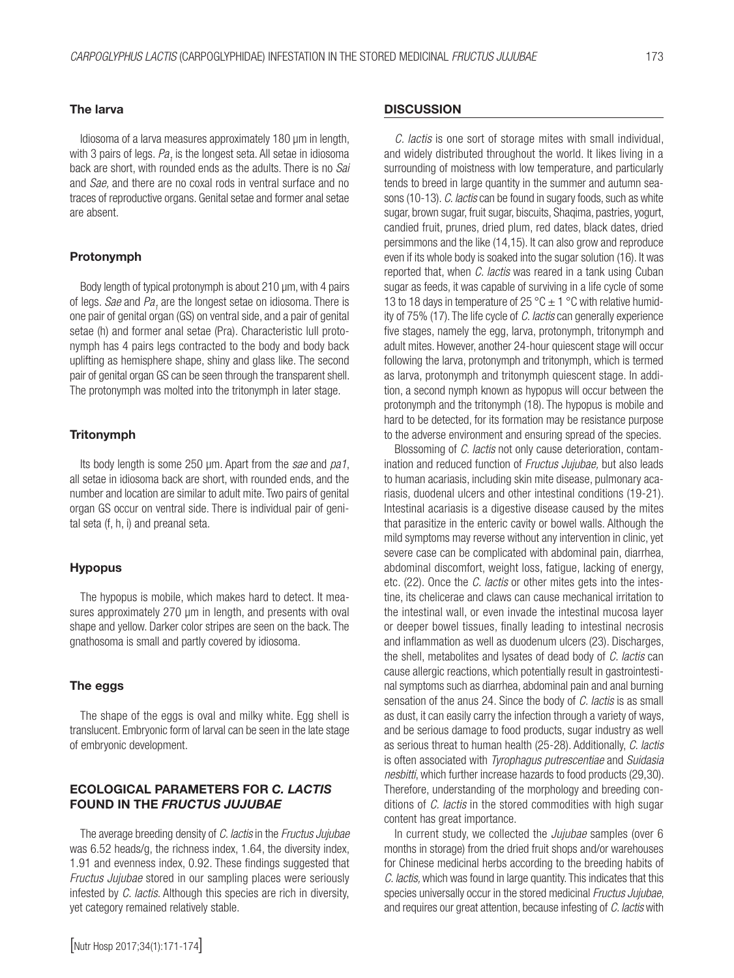#### The larva

Idiosoma of a larva measures approximately 180 μm in length, with 3 pairs of legs.  $Pa<sub>1</sub>$  is the longest seta. All setae in idiosoma back are short, with rounded ends as the adults. There is no *Sai* and *Sae,* and there are no coxal rods in ventral surface and no traces of reproductive organs. Genital setae and former anal setae are absent.

#### Protonymph

Body length of typical protonymph is about 210 μm, with 4 pairs of legs. *Sae* and Pa<sub>1</sub> are the longest setae on idiosoma. There is one pair of genital organ (GS) on ventral side, and a pair of genital setae (h) and former anal setae (Pra). Characteristic lull protonymph has 4 pairs legs contracted to the body and body back uplifting as hemisphere shape, shiny and glass like. The second pair of genital organ GS can be seen through the transparent shell. The protonymph was molted into the tritonymph in later stage.

#### **Tritonymph**

Its body length is some 250 μm. Apart from the *sae* and *pa1*, all setae in idiosoma back are short, with rounded ends, and the number and location are similar to adult mite. Two pairs of genital organ GS occur on ventral side. There is individual pair of genital seta (f, h, i) and preanal seta.

#### Hypopus

The hypopus is mobile, which makes hard to detect. It measures approximately 270 μm in length, and presents with oval shape and yellow. Darker color stripes are seen on the back. The gnathosoma is small and partly covered by idiosoma.

#### The eggs

The shape of the eggs is oval and milky white. Egg shell is translucent. Embryonic form of larval can be seen in the late stage of embryonic development.

# ECOLOGICAL PARAMETERS FOR *C. LACTIS*  FOUND IN THE *FRUCTUS JUJUBAE*

The average breeding density of *C. lactis* in the *Fructus Jujubae* was 6.52 heads/g, the richness index, 1.64, the diversity index, 1.91 and evenness index, 0.92. These findings suggested that *Fructus Jujubae* stored in our sampling places were seriously infested by *C. lactis*. Although this species are rich in diversity, yet category remained relatively stable.

#### **DISCUSSION**

*C. lactis* is one sort of storage mites with small individual, and widely distributed throughout the world. It likes living in a surrounding of moistness with low temperature, and particularly tends to breed in large quantity in the summer and autumn seasons (10-13). *C. lactis* can be found in sugary foods, such as white sugar, brown sugar, fruit sugar, biscuits, Shaqima, pastries, yogurt, candied fruit, prunes, dried plum, red dates, black dates, dried persimmons and the like (14,15). It can also grow and reproduce even if its whole body is soaked into the sugar solution (16). It was reported that, when *C. lactis* was reared in a tank using Cuban sugar as feeds, it was capable of surviving in a life cycle of some 13 to 18 days in temperature of 25 °C  $\pm$  1 °C with relative humidity of 75% (17). The life cycle of *C. lactis* can generally experience five stages, namely the egg, larva, protonymph, tritonymph and adult mites. However, another 24-hour quiescent stage will occur following the larva, protonymph and tritonymph, which is termed as larva, protonymph and tritonymph quiescent stage. In addition, a second nymph known as hypopus will occur between the protonymph and the tritonymph (18). The hypopus is mobile and hard to be detected, for its formation may be resistance purpose to the adverse environment and ensuring spread of the species.

Blossoming of *C. lactis* not only cause deterioration, contamination and reduced function of *Fructus Jujubae,* but also leads to human acariasis, including skin mite disease, pulmonary acariasis, duodenal ulcers and other intestinal conditions (19-21). Intestinal acariasis is a digestive disease caused by the mites that parasitize in the enteric cavity or bowel walls. Although the mild symptoms may reverse without any intervention in clinic, yet severe case can be complicated with abdominal pain, diarrhea, abdominal discomfort, weight loss, fatigue, lacking of energy, etc. (22). Once the *C. lactis* or other mites gets into the intestine, its chelicerae and claws can cause mechanical irritation to the intestinal wall, or even invade the intestinal mucosa layer or deeper bowel tissues, finally leading to intestinal necrosis and inflammation as well as duodenum ulcers (23). Discharges, the shell, metabolites and lysates of dead body of *C. lactis* can cause allergic reactions, which potentially result in gastrointestinal symptoms such as diarrhea, abdominal pain and anal burning sensation of the anus 24. Since the body of *C. lactis* is as small as dust, it can easily carry the infection through a variety of ways, and be serious damage to food products, sugar industry as well as serious threat to human health (25-28). Additionally, *C. lactis*  is often associated with *Tyrophagus putrescentiae* and *Suidasia nesbitti*, which further increase hazards to food products (29,30). Therefore, understanding of the morphology and breeding conditions of *C. lactis* in the stored commodities with high sugar content has great importance.

In current study, we collected the *Jujubae* samples (over 6 months in storage) from the dried fruit shops and/or warehouses for Chinese medicinal herbs according to the breeding habits of *C. lactis,* which was found in large quantity. This indicates that this species universally occur in the stored medicinal *Fructus Jujubae*, and requires our great attention, because infesting of *C. lactis* with